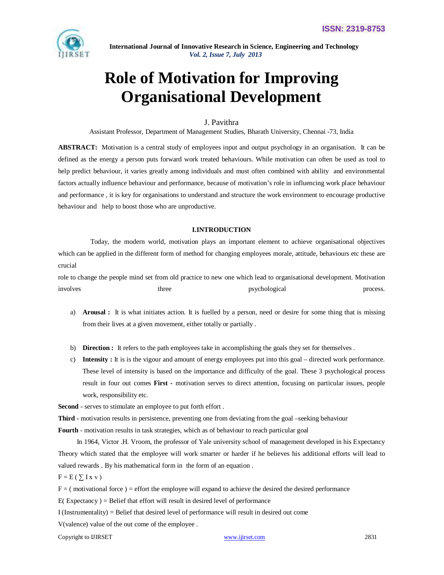

# **Role of Motivation for Improving Organisational Development**

# J. Pavithra

Assistant Professor, Department of Management Studies, Bharath University, Chennai -73, India

**ABSTRACT:** Motivation is a central study of employees input and output psychology in an organisation. It can be defined as the energy a person puts forward work treated behaviours. While motivation can often be used as tool to help predict behaviour, it varies greatly among individuals and must often combined with ability and environmental factors actually influence behaviour and performance, because of motivation's role in influencing work place behaviour and performance , it is key for organisations to understand and structure the work environment to encourage productive behaviour and help to boost those who are unproductive.

## **I.INTRODUCTION**

Today, the modern world, motivation plays an important element to achieve organisational objectives which can be applied in the different form of method for changing employees morale, attitude, behaviours etc these are crucial

role to change the people mind set from old practice to new one which lead to organisational development. Motivation involves three psychological process.

- a) **Arousal :** It is what initiates action. It is fuelled by a person, need or desire for some thing that is missing from their lives at a given movement, either totally or partially .
- b) **Direction :** It refers to the path employees take in accomplishing the goals they set for themselves .
- c) **Intensity :** It is is the vigour and amount of energy employees put into this goal directed work performance. These level of intensity is based on the importance and difficulty of the goal. These 3 psychological process result in four out comes **First -** motivation serves to direct attention, focusing on particular issues, people work, responsibility etc.

**Second** - serves to stimulate an employee to put forth effort .

**Third -** motivation results in persistence, preventing one from deviating from the goal –seeking behaviour

**Fourth** - motivation results in task strategies, which as of behaviour to reach particular goal

 In 1964, Victor .H. Vroom, the professor of Yale university school of management developed in his Expectancy Theory which stated that the employee will work smarter or harder if he believes his additional efforts will lead to valued rewards . By his mathematical form in the form of an equation .

 $F = E(\sum I x v)$ 

 $F =$  (motivational force) = effort the employee will expand to achieve the desired the desired performance

 $E(E)$  Expectancy  $E(E)$  = Belief that effort will result in desired level of performance

 $I$  (Instrumentality) = Belief that desired level of performance will result in desired out come

V(valence) value of the out come of the employee .

Copyright to IJIRSET www.ijirset.com 2831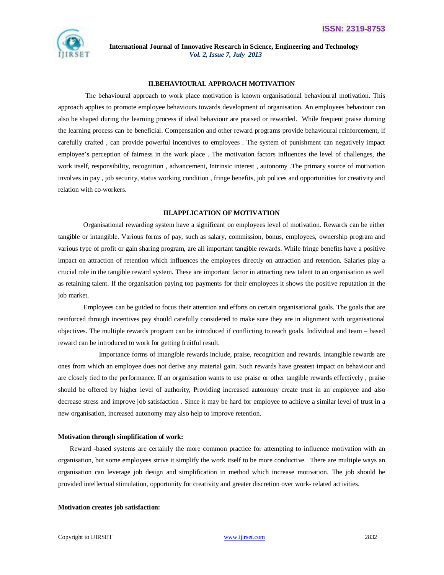

### **II.BEHAVIOURAL APPROACH MOTIVATION**

 The behavioural approach to work place motivation is known organisational behavioural motivation. This approach applies to promote employee behaviours towards development of organisation. An employees behaviour can also be shaped during the learning process if ideal behaviour are praised or rewarded. While frequent praise durning the learning process can be beneficial. Compensation and other reward programs provide behavioural reinforcement, if carefully crafted , can provide powerful incentives to employees . The system of punishment can negatively impact employee's perception of fairness in the work place . The motivation factors influences the level of challenges, the work itself, responsibility, recognition , advancement, Intrinsic interest , autonomy .The primary source of motivation involves in pay , job security, status working condition , fringe benefits, job polices and opportunities for creativity and relation with co-workers.

#### **III.APPLICATION OF MOTIVATION**

 Organisational rewarding system have a significant on employees level of motivation. Rewards can be either tangible or intangible. Various forms of pay, such as salary, commission, bonus, employees, ownership program and various type of profit or gain sharing program, are all important tangible rewards. While fringe benefits have a positive impact on attraction of retention which influences the employees directly on attraction and retention. Salaries play a crucial role in the tangible reward system. These are important factor in attracting new talent to an organisation as well as retaining talent. If the organisation paying top payments for their employees it shows the positive reputation in the job market.

 Employees can be guided to focus their attention and efforts on certain organisational goals. The goals that are reinforced through incentives pay should carefully considered to make sure they are in alignment with organisational objectives. The multiple rewards program can be introduced if conflicting to reach goals. Individual and team – based reward can be introduced to work for getting fruitful result.

 Importance forms of intangible rewards include, praise, recognition and rewards. Intangible rewards are ones from which an employee does not derive any material gain. Such rewards have greatest impact on behaviour and are closely tied to the performance. If an organisation wants to use praise or other tangible rewards effectively , praise should be offered by higher level of authority, Providing increased autonomy create trust in an employee and also decrease stress and improve job satisfaction . Since it may be hard for employee to achieve a similar level of trust in a new organisation, increased autonomy may also help to improve retention.

#### **Motivation through simplification of work:**

Reward -based systems are certainly the more common practice for attempting to influence motivation with an organisation, but some employees strive it simplify the work itself to be more conductive. There are multiple ways an organisation can leverage job design and simplification in method which increase motivation. The job should be provided intellectual stimulation, opportunity for creativity and greater discretion over work- related activities.

#### **Motivation creates job satisfaction:**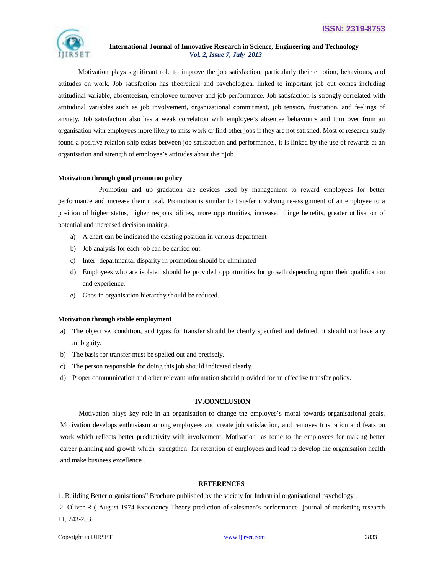

 Motivation plays significant role to improve the job satisfaction, particularly their emotion, behaviours, and attitudes on work. Job satisfaction has theoretical and psychological linked to important job out comes including attitudinal variable, absenteeism, employee turnover and job performance. Job satisfaction is strongly correlated with attitudinal variables such as job involvement, organizational commitment, job tension, frustration, and feelings of anxiety. Job satisfaction also has a weak correlation with employee's absentee behaviours and turn over from an organisation with employees more likely to miss work or find other jobs if they are not satisfied. Most of research study found a positive relation ship exists between job satisfaction and performance., it is linked by the use of rewards at an organisation and strength of employee's attitudes about their job.

## **Motivation through good promotion policy**

Promotion and up gradation are devices used by management to reward employees for better performance and increase their moral. Promotion is similar to transfer involving re-assignment of an employee to a position of higher status, higher responsibilities, more opportunities, increased fringe benefits, greater utilisation of potential and increased decision making.

- a) A chart can be indicated the existing position in various department
- b) Job analysis for each job can be carried out
- c) Inter- departmental disparity in promotion should be eliminated
- d) Employees who are isolated should be provided opportunities for growth depending upon their qualification and experience.
- e) Gaps in organisation hierarchy should be reduced.

#### **Motivation through stable employment**

- a) The objective, condition, and types for transfer should be clearly specified and defined. It should not have any ambiguity.
- b) The basis for transfer must be spelled out and precisely.
- c) The person responsible for doing this job should indicated clearly.
- d) Proper communication and other relevant information should provided for an effective transfer policy.

### **IV.CONCLUSION**

Motivation plays key role in an organisation to change the employee's moral towards organisational goals. Motivation develops enthusiasm among employees and create job satisfaction, and removes frustration and fears on work which reflects better productivity with involvement. Motivation as tonic to the employees for making better career planning and growth which strengthen for retention of employees and lead to develop the organisation health and make business excellence .

# **REFERENCES**

1. Building Better organisations" Brochure published by the society for Industrial organisational psychology .

2. Oliver R ( August 1974 Expectancy Theory prediction of salesmen's performance journal of marketing research 11, 243-253.